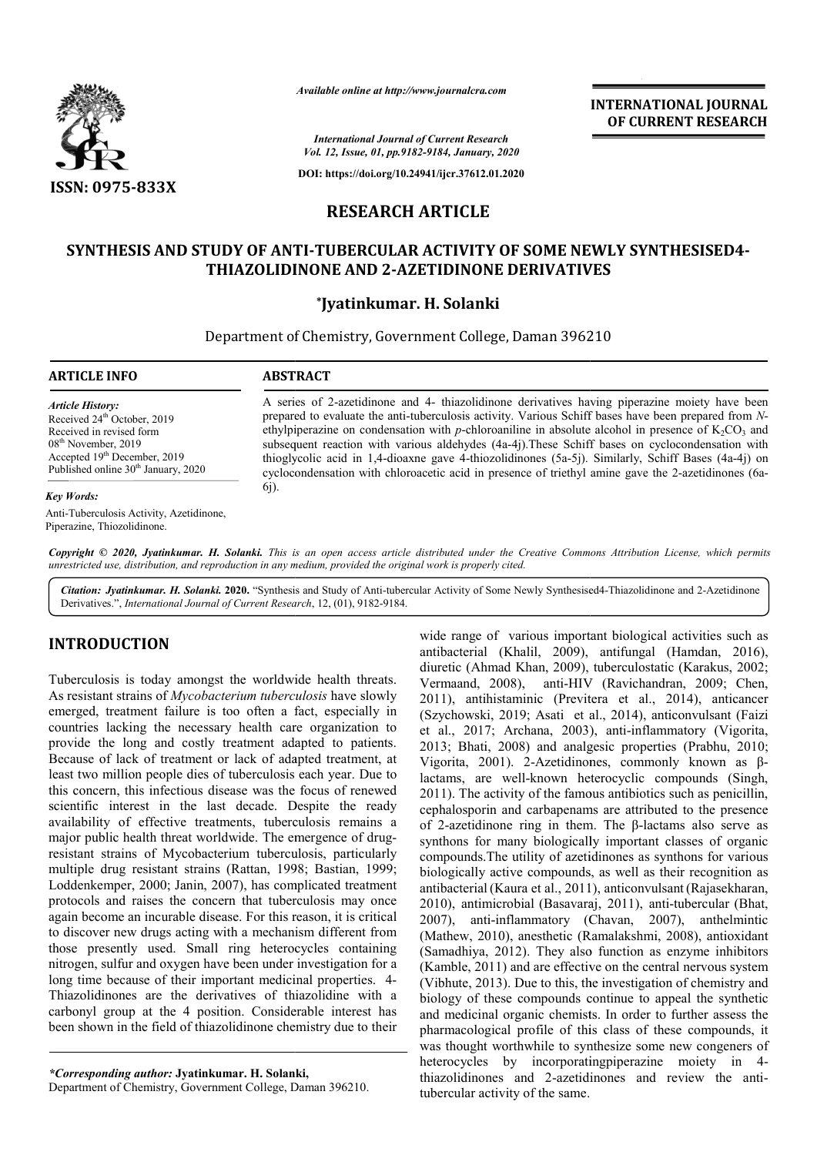

*Available online at http://www.journalcra.com*

**INTERNATIONAL JOURNAL OF CURRENT RESEARCH**

*International Journal of Current Research Vol. 12, Issue, 01, pp.9182-9184, January, 2020*

**DOI: https://doi.org/10.24941/ijcr.37612.01.2020**

# **RESEARCH ARTICLE**

# SYNTHESIS AND STUDY OF ANTI-TUBERCULAR ACTIVITY OF SOME NEWLY SYNTHESISED4-**THIAZOLIDINONE AND 2 2-AZETIDINONE DERIVATIVES AZETIDINONE**

## **\*Jyatinkumar. H. Solanki**

Department of Chemistry, Government College, Daman 396210

#### **ARTICLE INFO ABSTRACT**

*Article History:* Received 24<sup>th</sup> October, 2019 Received in revised form 08th November, 2019 Accepted 19<sup>th</sup> December, 2019 Published online 30<sup>th</sup> January, 2020

#### *Key Words:*

Anti-Tuberculosis Activity, Azetidinone, Piperazine, Thiozolidinone.

A series of 2 2-azetidinone and 4- thiazolidinone derivatives having piperazine moiety have been A series of 2-azetidinone and 4- thiazolidinone derivatives having piperazine moiety have been prepared to evaluate the anti-tuberculosis activity. Various Schiff bases have been prepared from *N*ethylpiperazine on condensation with *p*-chloroaniline in absolute alcohol in presence of  $K_2CO_3$  and subsequent reaction with various aldehydes (4a-4j). These Schiff bases on cyclocondensation with subsequent reaction with various aldehydes (4a-4j). These Schiff bases on cyclocondensation with thioglycolic acid in 1,4-dioaxne gave 4-thiozolidinones (5a-5j). Similarly, Schiff Bases (4a-4j) on cyclocondensation with chloroacetic acid in presence of triethyl amine gave the 2-azetidinones (6a-6j).

Copyright © 2020, Jyatinkumar. H. Solanki. This is an open access article distributed under the Creative Commons Attribution License, which permits *unrestricted use, distribution, and reproduction in any medium, provided the original work is properly cited.*

Citation: Jyatinkumar. H. Solanki. 2020. "Synthesis and Study of Anti-tubercular Activity of Some Newly Synthesised4-Thiazolidinone and 2-Azetidinone Derivatives.", *International Journal of Current Research* , 12, (01), 9182-9184.

# **INTRODUCTION**

Tuberculosis is today amongst the worldwide health threats. As resistant strains of *Mycobacterium tuberculosis* have slowly emerged, treatment failure is too often a fact, especially in countries lacking the necessary health care organization to provide the long and costly treatment adapted to patients. Because of lack of treatment or lack of adapted treatment, at least two million people dies of tuberculosis each year. Due to this concern, this infectious disease was the focus of renewed scientific interest in the last decade. Despite the ready availability of effective treatments, tuberculosis remains a availability of effective treatments, tuberculosis remains a<br>major public health threat worldwide. The emergence of drugresistant strains of Mycobacterium tuberculosis, particularly multiple drug resistant strains (Rattan, 1998; Bastian, 1999; Loddenkemper, 2000; Janin, 2007), has complicated treatment protocols and raises the concern that tuberculosis may once again become an incurable disease. For this reason, it is critical to discover new drugs acting with a mechanism different from those presently used. Small ring heterocycles containing nitrogen, sulfur and oxygen have been under investigation for a long time because of their important medicinal properties. 4 Thiazolidinones are the derivatives of thiazolidine with a carbonyl group at the 4 position. Considerable interest has been shown in the field of thiazolidinone chemistry due to their ins (Rattan, 1998; Bastian, 1999;<br>, 2007), has complicated treatment<br>necern that tuberculosis may once<br>lisease. For this reason, it is critical<br>g with a mechanism different from<br>all ring heterocycles containing<br>have been u

*\*Corresponding author:* **Jyatinkumar. H. Solanki Solanki,**

Department of Chemistry, Government College, Daman 396210 396210.

wide range of various important biological activities such as antibacterial (Khalil, 2009), antifungal (Hamdan, 2016), diuretic (Ahmad Khan, 2009), tuberculostatic (Karakus, 2002; Vermaand, 2008), anti-HIV (Ravichandran, 2009; Chen, 2011), antihistaminic (Previtera et al., 2014), anticancer (Szychowski, 2019; Asati et al., 2014), anticonvulsant (Faizi et al., 2017; Archana, 2003) ), anti-inflammatory (Vigorita, 2013; Bhati, 2008) and analgesic properties (Prabhu, 2010; Vigorita, 2001). 2-Azetidinones, commonly known as βlactams, are well-known heterocyclic compounds (Singh, 2011). The activity of the famous antibiotics such as penicillin, cephalosporin and carbapenams are attributed to the presence 2011). The activity of the famous antibiotics such as penicillin, cephalosporin and carbapenams are attributed to the presence of 2-azetidinone ring in them. The β-lactams also serve as synthons for many biologically important classes of organic compounds.The utility of azetidinones as synthons for various biologically active compounds, as well as their recognition as antibacterial (Kaura et al., 2011), anticonvulsant (Rajasekharan, 2010), antimicrobial (Basavaraj Basavaraj, 2011), anti-tubercular (Bhat, 2007), anti-inflammatory (Chavan, 2007), anthelmintic (Mathew, 2010), anesthetic (Ramalakshmi, 2008), antioxidant (Samadhiya, 2012). They also function as enzyme inhibitors (Kamble, 2011) and are effective on the central nervous system (Vibhute, 2013). Due to this, the investigation of chemistry and (Kamble, 2011) and are effective on the central nervous system (Vibhute, 2013). Due to this, the investigation of chemistry and biology of these compounds continue to appeal the synthetic and medicinal organic chemists. In order to further assess the pharmacological profile of this class of these compounds, it was thought worthwhile to synthesize some new congeners of heterocycles by incorporatingpiperazine moiety in 4thiazolidinones and 2-azetidinones and review the antitubercular activity of the same. r many biologically important classes of organic<br>The utility of azetidinones as synthons for various<br>active compounds, as well as their recognition as<br>(Kaura et al., 2011), anticonvulsant (Rajasekharan,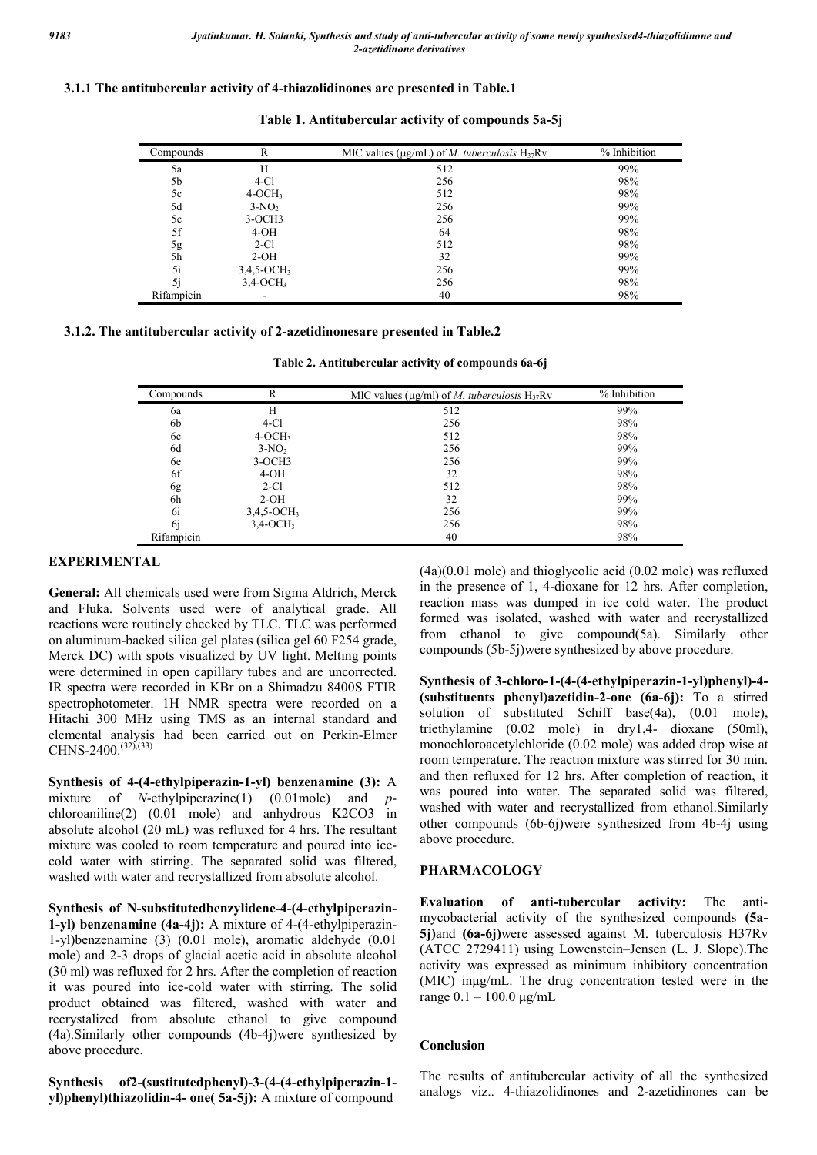## **3.1.1 The antitubercular activity of 4-thiazolidinones are presented in Table.1**

| Compounds  | R                         | MIC values ( $\mu$ g/mL) of <i>M. tuberculosis</i> $H_{37}Rv$ | % Inhibition |
|------------|---------------------------|---------------------------------------------------------------|--------------|
| 5a         | H                         | 512                                                           | 99%          |
| 5b         | $4-C1$                    | 256                                                           | 98%          |
| 5c         | $4-OCH3$                  | 512                                                           | 98%          |
| 5d         | $3-NO2$                   | 256                                                           | 99%          |
| 5e         | $3-OCH3$                  | 256                                                           | 99%          |
| 5f         | $4-OH$                    | 64                                                            | 98%          |
| 5g         | $2-C1$                    | 512                                                           | 98%          |
| 5h         | $2-OH$                    | 32                                                            | 99%          |
| 5i         | $3,4,5$ -OCH <sub>3</sub> | 256                                                           | 99%          |
| 5i         | $3,4$ -OCH <sub>3</sub>   | 256                                                           | 98%          |
| Rifampicin |                           | 40                                                            | 98%          |

**Table 1. Antitubercular activity of compounds 5a-5j**

## **3.1.2. The antitubercular activity of 2-azetidinonesare presented in Table.2**

**Table 2. Antitubercular activity of compounds 6a-6j**

| Compounds  | R                         | MIC values ( $\mu$ g/ml) of <i>M. tuberculosis</i> H <sub>37</sub> Rv | % Inhibition |
|------------|---------------------------|-----------------------------------------------------------------------|--------------|
| 6a         | H                         | 512                                                                   | 99%          |
| 6b         | $4-C1$                    | 256                                                                   | 98%          |
| 6c         | $4-OCH3$                  | 512                                                                   | 98%          |
| 6d         | $3-NO2$                   | 256                                                                   | 99%          |
| 6e         | $3-OCH3$                  | 256                                                                   | 99%          |
| 6f         | $4-OH$                    | 32                                                                    | 98%          |
| 6g         | $2-C1$                    | 512                                                                   | 98%          |
| 6h         | $2-OH$                    | 32                                                                    | 99%          |
| 6i         | $3,4,5$ -OCH <sub>3</sub> | 256                                                                   | 99%          |
| 6i         | $3,4$ -OCH <sub>3</sub>   | 256                                                                   | 98%          |
| Rifampicin |                           | 40                                                                    | 98%          |

#### **EXPERIMENTAL**

**General:** All chemicals used were from Sigma Aldrich, Merck and Fluka. Solvents used were of analytical grade. All reactions were routinely checked by TLC. TLC was performed on aluminum-backed silica gel plates (silica gel 60 F254 grade, Merck DC) with spots visualized by UV light. Melting points were determined in open capillary tubes and are uncorrected. IR spectra were recorded in KBr on a Shimadzu 8400S FTIR spectrophotometer. 1H NMR spectra were recorded on a Hitachi 300 MHz using TMS as an internal standard and elemental analysis had been carried out on Perkin-Elmer CHNS-2400.<sup>(32)</sup>,(33)

**Synthesis of 4-(4-ethylpiperazin-1-yl) benzenamine (3):** A mixture of *N*-ethylpiperazine(1) (0.01mole) and *p*chloroaniline(2) (0.01 mole) and anhydrous K2CO3 in absolute alcohol (20 mL) was refluxed for 4 hrs. The resultant mixture was cooled to room temperature and poured into icecold water with stirring. The separated solid was filtered, washed with water and recrystallized from absolute alcohol.

**Synthesis of N-substitutedbenzylidene-4-(4-ethylpiperazin-1-yl) benzenamine (4a-4j):** A mixture of 4-(4-ethylpiperazin-1-yl)benzenamine (3) (0.01 mole), aromatic aldehyde (0.01 mole) and 2-3 drops of glacial acetic acid in absolute alcohol (30 ml) was refluxed for 2 hrs. After the completion of reaction it was poured into ice-cold water with stirring. The solid product obtained was filtered, washed with water and recrystalized from absolute ethanol to give compound (4a).Similarly other compounds (4b-4j)were synthesized by above procedure.

**Synthesis of2-(sustitutedphenyl)-3-(4-(4-ethylpiperazin-1 yl)phenyl)thiazolidin-4- one( 5a-5j):** A mixture of compound

(4a)(0.01 mole) and thioglycolic acid (0.02 mole) was refluxed in the presence of 1, 4-dioxane for 12 hrs. After completion, reaction mass was dumped in ice cold water. The product formed was isolated, washed with water and recrystallized from ethanol to give compound(5a). Similarly other compounds (5b-5j)were synthesized by above procedure.

**Synthesis of 3-chloro-1-(4-(4-ethylpiperazin-1-yl)phenyl)-4- (substituents phenyl)azetidin-2-one (6a-6j):** To a stirred solution of substituted Schiff base(4a), (0.01 mole), triethylamine (0.02 mole) in dry1,4- dioxane (50ml), monochloroacetylchloride (0.02 mole) was added drop wise at room temperature. The reaction mixture was stirred for 30 min. and then refluxed for 12 hrs. After completion of reaction, it was poured into water. The separated solid was filtered, washed with water and recrystallized from ethanol.Similarly other compounds (6b-6j)were synthesized from 4b-4j using above procedure.

## **PHARMACOLOGY**

**Evaluation of anti-tubercular activity:** The antimycobacterial activity of the synthesized compounds **(5a-5j)**and **(6a-6j)**were assessed against M. tuberculosis H37Rv (ATCC 2729411) using Lowenstein–Jensen (L. J. Slope).The activity was expressed as minimum inhibitory concentration (MIC) inμg/mL. The drug concentration tested were in the range 0.1 – 100.0 μg/mL

### **Conclusion**

The results of antitubercular activity of all the synthesized analogs viz.. 4-thiazolidinones and 2-azetidinones can be